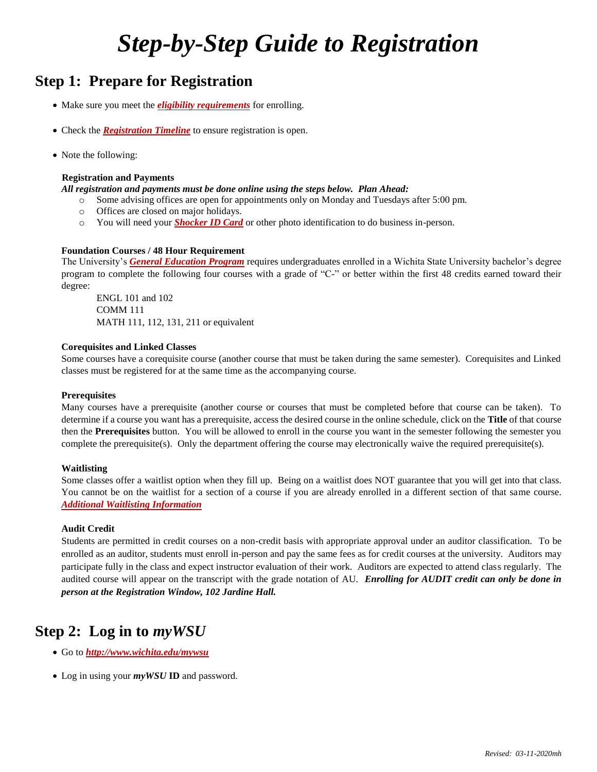# *Step-by-Step Guide to Registration*

# **Step 1: Prepare for Registration**

- Make sure you meet the *[eligibility requirements](https://www.wichita.edu/services/registrar/registration_new.php#eligible)* for enrolling.
- Check the *[Registration Timeline](https://www.wichita.edu/services/registrar/registration_new.php#timeline)* to ensure registration is open.
- Note the following:

### **Registration and Payments**

- *All registration and payments must be done online using the steps below. Plan Ahead:*
	- o Some advising offices are open for appointments only on Monday and Tuesdays after 5:00 pm.
	- o Offices are closed on major holidays.
	- o You will need your *[Shocker ID Card](https://www.wichita.edu/services/shocker_card/)* or other photo identification to do business in-person.

### **Foundation Courses / 48 Hour Requirement**

The University's *[General Education Program](https://www.wichita.edu/academics/generaleducation/index.php)* requires undergraduates enrolled in a Wichita State University bachelor's degree program to complete the following four courses with a grade of "C-" or better within the first 48 credits earned toward their degree:

ENGL 101 and 102 COMM 111 MATH 111, 112, 131, 211 or equivalent

#### **Corequisites and Linked Classes**

Some courses have a corequisite course (another course that must be taken during the same semester). Corequisites and Linked classes must be registered for at the same time as the accompanying course.

### **Prerequisites**

Many courses have a prerequisite (another course or courses that must be completed before that course can be taken). To determine if a course you want has a prerequisite, access the desired course in the online schedule, click on the **Title** of that course then the **Prerequisites** button. You will be allowed to enroll in the course you want in the semester following the semester you complete the prerequisite(s). Only the department offering the course may electronically waive the required prerequisite(s).

### **Waitlisting**

Some classes offer a waitlist option when they fill up. Being on a waitlist does NOT guarantee that you will get into that class. You cannot be on the waitlist for a section of a course if you are already enrolled in a different section of that same course. *[Additional Waitlisting Information](https://www.wichita.edu/services/registrar/waitlisting.php)*

### **Audit Credit**

Students are permitted in credit courses on a non-credit basis with appropriate approval under an auditor classification. To be enrolled as an auditor, students must enroll in-person and pay the same fees as for credit courses at the university. Auditors may participate fully in the class and expect instructor evaluation of their work. Auditors are expected to attend class regularly. The audited course will appear on the transcript with the grade notation of AU. *Enrolling for AUDIT credit can only be done in person at the Registration Window, 102 Jardine Hall.*

# **Step 2: Log in to** *myWSU*

- Go to *<http://www.wichita.edu/mywsu>*
- Log in using your *myWSU* **ID** and password.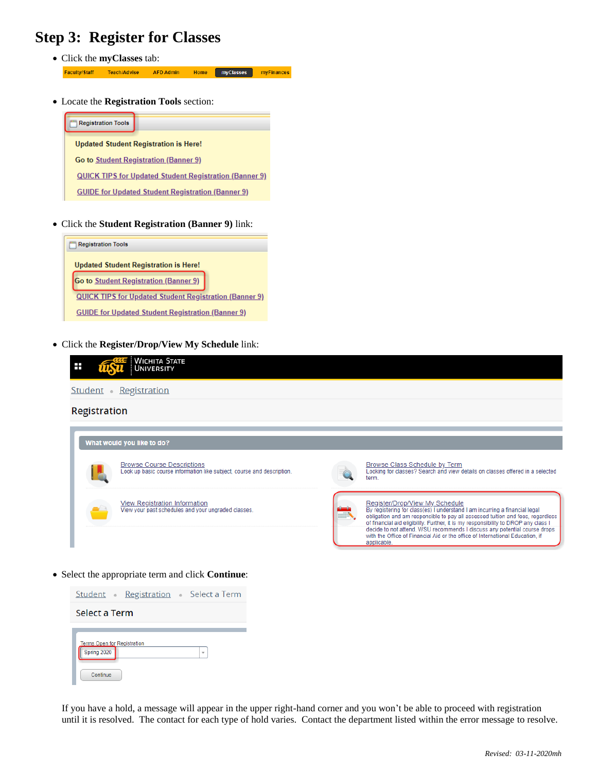# **Step 3: Register for Classes**

- Click the **myClasses** tab: Faculty/Staff **Teach/Advise AFD Admin** Home myClasses myFinances
- Locate the **Registration Tools** section:



Click the **Student Registration (Banner 9)** link:



Click the **Register/Drop/View My Schedule** link:

| WICHITA STATE<br>Ŧ<br>UNIVERSITY                                                                            |                                                                                                                                                                                                                                                                                                                                                                                                                                                    |
|-------------------------------------------------------------------------------------------------------------|----------------------------------------------------------------------------------------------------------------------------------------------------------------------------------------------------------------------------------------------------------------------------------------------------------------------------------------------------------------------------------------------------------------------------------------------------|
| Student •<br>Registration                                                                                   |                                                                                                                                                                                                                                                                                                                                                                                                                                                    |
| Registration                                                                                                |                                                                                                                                                                                                                                                                                                                                                                                                                                                    |
| What would you like to do?                                                                                  |                                                                                                                                                                                                                                                                                                                                                                                                                                                    |
| <b>Browse Course Descriptions</b><br>Look up basic course information like subject, course and description. | <b>Browse Class Schedule by Term</b><br>Looking for classes? Search and view details on classes offered in a selected<br>term.                                                                                                                                                                                                                                                                                                                     |
| View Registration Information<br>View your past schedules and your ungraded classes.                        | Register/Drop/View My Schedule<br>By registering for class(es) I understand I am incurring a financial legal<br>obligation and am responsible to pay all assessed tuition and fees, regardless<br>of financial aid eligibility. Further, it is my responsibility to DROP any class I<br>decide to not attend. WSU recommends I discuss any potential course drops<br>with the Office of Financial Aid or the office of International Education, if |

applicable.

Select the appropriate term and click **Continue**:



If you have a hold, a message will appear in the upper right-hand corner and you won't be able to proceed with registration until it is resolved. The contact for each type of hold varies. Contact the department listed within the error message to resolve.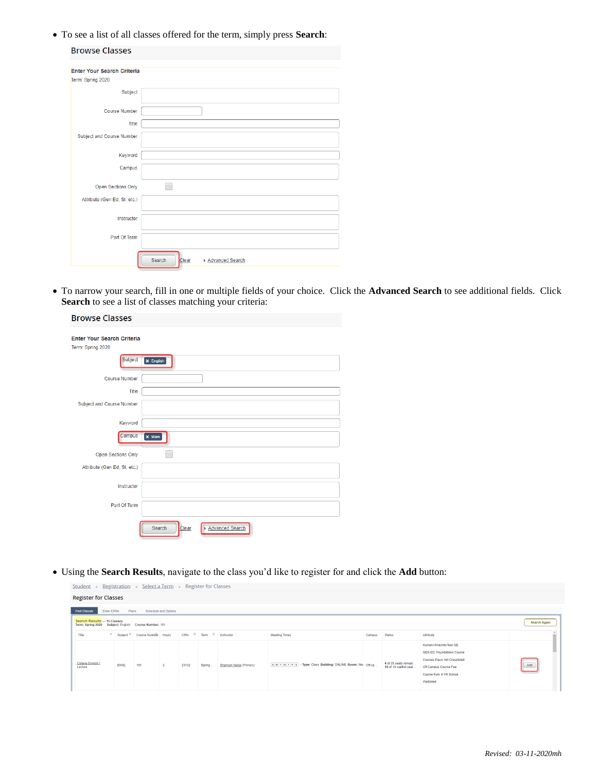To see a list of all classes offered for the term, simply press **Search**:

| <b>Browse Classes</b>             |                                    |
|-----------------------------------|------------------------------------|
| <b>Enter Your Search Criteria</b> |                                    |
| Term: Spring 2020                 |                                    |
| Subject                           |                                    |
| <b>Course Number</b>              |                                    |
| Title                             |                                    |
| <b>Subject and Course Number</b>  |                                    |
| Keyword                           |                                    |
| Campus                            |                                    |
| Open Sections Only                |                                    |
| Attribute (Gen Ed, SI, etc.)      |                                    |
| Instructor                        |                                    |
| Part Of Term                      |                                    |
|                                   | Search<br>Advanced Search<br>Clear |

 To narrow your search, fill in one or multiple fields of your choice. Click the **Advanced Search** to see additional fields. Click **Search** to see a list of classes matching your criteria:

| <b>Browse Classes</b>                                  |                                    |
|--------------------------------------------------------|------------------------------------|
| <b>Enter Your Search Criteria</b><br>Term: Spring 2020 |                                    |
| Subject                                                | <b>x</b> English                   |
| <b>Course Number</b>                                   |                                    |
| Title                                                  |                                    |
| <b>Subject and Course Number</b>                       |                                    |
| Keyword                                                |                                    |
| Campus                                                 | $\times$ Main                      |
| Open Sections Only                                     |                                    |
| Attribute (Gen Ed, SI, etc.)                           |                                    |
| Instructor                                             |                                    |
| Part Of Term                                           |                                    |
|                                                        | Advanced Search<br>Clear<br>Search |

Using the **Search Results**, navigate to the class you'd like to register for and click the **Add** button:

| Student .                                                                            | Registration Select a Term Register for Classes |                                 |  |                         |        |                         |                                                       |        |                                                  |                                                                                                                                                               |                      |
|--------------------------------------------------------------------------------------|-------------------------------------------------|---------------------------------|--|-------------------------|--------|-------------------------|-------------------------------------------------------|--------|--------------------------------------------------|---------------------------------------------------------------------------------------------------------------------------------------------------------------|----------------------|
|                                                                                      | <b>Register for Classes</b>                     |                                 |  |                         |        |                         |                                                       |        |                                                  |                                                                                                                                                               |                      |
| <b>Find Classes</b>                                                                  | Enter CRNs<br>Plans<br>Schedule and Options     |                                 |  |                         |        |                         |                                                       |        |                                                  |                                                                                                                                                               |                      |
| Search Results - 15 Classes<br>Term: Spring 2020 Subject: English Course Number: 101 |                                                 |                                 |  |                         |        |                         |                                                       |        |                                                  |                                                                                                                                                               | <b>Search Again</b>  |
| Title                                                                                |                                                 | ▼ Subject C Course Number Hours |  | CRN ↓ Term ↓ Instructor |        |                         | <b>Meeting Times</b>                                  | Campus | <b>Status</b>                                    | Attribute                                                                                                                                                     |                      |
| College English I<br>Lecture                                                         | ENGL                                            | 101                             |  | 23132                   | Spring | Shannon Nakaj (Primary) | SMTWTFS-Type: Class Building: ONLINE Room: Nor Off-ca |        | 4 of 25 seats remain.<br>10 of 10 waitlist seat. | Human+FineArts-Non GE<br><b>GEN ED: Foundations Course</b><br>Courses Equiv not Crosslisted<br>Off Campus Course Fee<br>Course from 4-YR School<br>Waitlisted | $\boxed{\hbox{Add}}$ |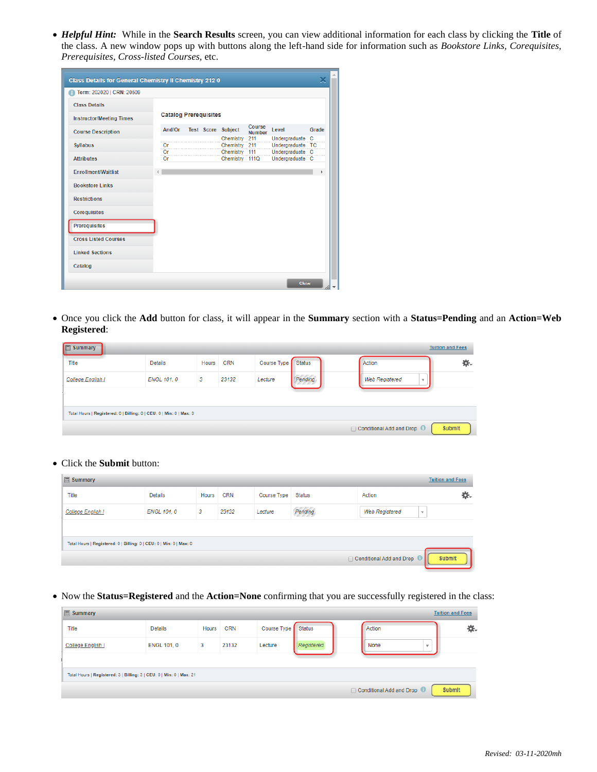*Helpful Hint:* While in the **Search Results** screen, you can view additional information for each class by clicking the **Title** of the class. A new window pops up with buttons along the left-hand side for information such as *Bookstore Links, Corequisites, Prerequisites, Cross-listed Courses,* etc.

| Class Details for General Chemistry II Chemistry 212 0 |  |                              |  |  |                                |                         |                                     |       |  |  |
|--------------------------------------------------------|--|------------------------------|--|--|--------------------------------|-------------------------|-------------------------------------|-------|--|--|
| Term: 202020   CRN: 20509                              |  |                              |  |  |                                |                         |                                     |       |  |  |
| <b>Class Details</b>                                   |  |                              |  |  |                                |                         |                                     |       |  |  |
| <b>Instructor/Meeting Times</b>                        |  | <b>Catalog Prerequisites</b> |  |  |                                |                         |                                     |       |  |  |
| <b>Course Description</b>                              |  |                              |  |  | And/Or Test Score Subject      | Course<br><b>Number</b> | Level                               | Grade |  |  |
|                                                        |  |                              |  |  | Chemistry 211                  |                         | Undergraduate C                     |       |  |  |
| <b>Syllabus</b>                                        |  | Or<br>Or                     |  |  | Chemistry 211<br>Chemistry 111 |                         | Undergraduate TC<br>Undergraduate C |       |  |  |
| <b>Attributes</b>                                      |  | Or                           |  |  | Chemistry 111Q                 |                         | Undergraduate C                     |       |  |  |
| <b>Enrollment/Waitlist</b>                             |  |                              |  |  |                                |                         |                                     |       |  |  |
| <b>Bookstore Links</b>                                 |  |                              |  |  |                                |                         |                                     |       |  |  |
| <b>Restrictions</b>                                    |  |                              |  |  |                                |                         |                                     |       |  |  |
| <b>Corequisites</b>                                    |  |                              |  |  |                                |                         |                                     |       |  |  |
| <b>Prerequisites</b>                                   |  |                              |  |  |                                |                         |                                     |       |  |  |
| <b>Cross Listed Courses</b>                            |  |                              |  |  |                                |                         |                                     |       |  |  |
| <b>Linked Sections</b>                                 |  |                              |  |  |                                |                         |                                     |       |  |  |
| Catalog                                                |  |                              |  |  |                                |                         |                                     |       |  |  |
|                                                        |  |                              |  |  |                                |                         | Close                               |       |  |  |

 Once you click the **Add** button for class, it will appear in the **Summary** section with a **Status=Pending** and an **Action=Web Registered**:

| <b>图 Summary</b>                                                    |                    |       |            |             |               |                                     | <b>Tuition and Fees</b> |
|---------------------------------------------------------------------|--------------------|-------|------------|-------------|---------------|-------------------------------------|-------------------------|
| Title                                                               | <b>Details</b>     | Hours | <b>CRN</b> | Course Type | <b>Status</b> | Action                              | 杂.                      |
| College English I                                                   | <b>ENGL 101, 0</b> | 3     | 23132      | Lecture     | Pendina       | <b>Web Registered</b><br>$\;$       |                         |
|                                                                     |                    |       |            |             |               |                                     |                         |
| Total Hours   Registered: 0   Billing: 0   CEU: 0   Min: 0   Max: 0 |                    |       |            |             |               |                                     |                         |
|                                                                     |                    |       |            |             |               | ◯ Conditional Add and Drop <b>D</b> | Submit                  |

#### Click the **Submit** button:

| <b>同 Summary</b>                                                    |             |              |            |             |               |                                     | <b>Tuition and Fees</b> |  |
|---------------------------------------------------------------------|-------------|--------------|------------|-------------|---------------|-------------------------------------|-------------------------|--|
| Title                                                               | Details     | <b>Hours</b> | <b>CRN</b> | Course Type | <b>Status</b> | Action                              | 杂.                      |  |
| College English I                                                   | ENGL 101, 0 | 3            | 23132      | Lecture     | Pendina       | <b>Web Registered</b>               | $\overline{\mathbf{v}}$ |  |
|                                                                     |             |              |            |             |               |                                     |                         |  |
| Total Hours   Registered: 0   Billing: 0   CEU: 0   Min: 0   Max: 0 |             |              |            |             |               |                                     |                         |  |
|                                                                     |             |              |            |             |               | □ Conditional Add and Drop <b>■</b> | <b>Submit</b>           |  |

• Now the **Status=Registered** and the **Action=None** confirming that you are successfully registered in the class:

| <b>同 Summary</b>                                                     |                    |       |            |                    |            |  |                                          | <b>Tuition and Fees</b> |        |
|----------------------------------------------------------------------|--------------------|-------|------------|--------------------|------------|--|------------------------------------------|-------------------------|--------|
| Title                                                                | <b>Details</b>     | Hours | <b>CRN</b> | Course Type Status |            |  | Action                                   |                         | 杂.     |
| <b>College English I</b>                                             | <b>ENGL 101, 0</b> | 3     | 23132      | Lecture            | Registered |  | None                                     | ٠                       |        |
|                                                                      |                    |       |            |                    |            |  |                                          |                         |        |
| Total Hours   Registered: 3   Billing: 3   CEU: 0   Min: 0   Max: 21 |                    |       |            |                    |            |  |                                          |                         |        |
|                                                                      |                    |       |            |                    |            |  | $\Box$ Conditional Add and Drop $\Theta$ |                         | Submit |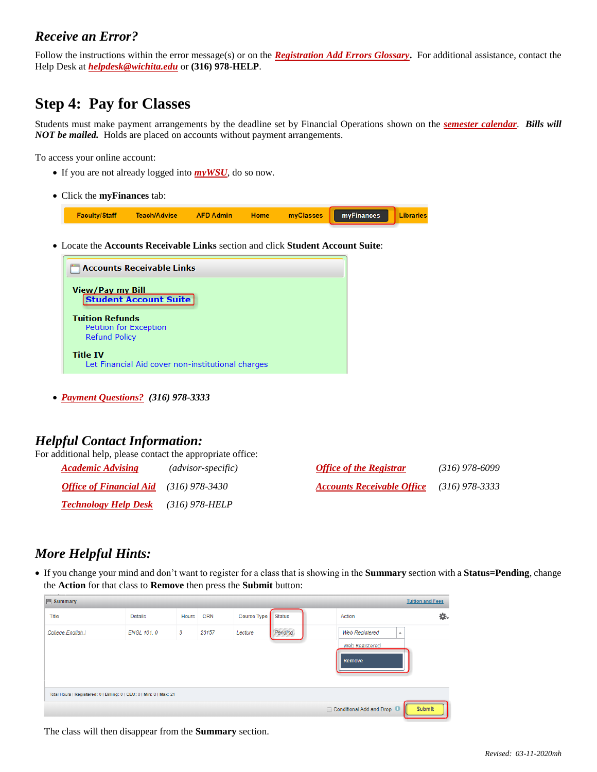### *Receive an Error?*

Follow the instructions within the error message(s) or on the *[Registration Add Errors Glossary](https://thecube.wichita.edu/ucontent/84d7110341894a0d9b589b3d686bcd85_en-US/index.pdf?primaryCSH=Registration,Add,Errors,Glossary)***.** For additional assistance, contact the Help Desk at *[helpdesk@wichita.edu](mailto:helpdesk@wichita.edu)* or **(316) 978-HELP**.

# **Step 4: Pay for Classes**

Students must make payment arrangements by the deadline set by Financial Operations shown on the *[semester calendar](https://www.wichita.edu/services/registrar/academic_calendar.phphttps:/www.wichita.edu/services/registrar/academic_calendar.php)*. *Bills will NOT be mailed.* Holds are placed on accounts without payment arrangements.

To access your online account:

- If you are not already logged into **[myWSU](http://www.wichita.edu/mywsu)**, do so now.
- Click the **myFinances** tab:

| Faculty/Staff |  |  | <b>Teach/Advise AFD Admin</b> Home myClasses myFinances Libraries |  |
|---------------|--|--|-------------------------------------------------------------------|--|
|               |  |  |                                                                   |  |

Locate the **Accounts Receivable Links** section and click **Student Account Suite**:



*[Payment Questions?](https://www.wichita.edu/services/tuitionfees/2017/tuitionfees2.php) (316) 978-3333*

### *Helpful Contact Information:*

For additional help, please contact the appropriate office:

| <b>Academic Advising</b>                      | (advisor-specific) | <b>Office of the Registrar</b>    | $(316)$ 978-6099 |
|-----------------------------------------------|--------------------|-----------------------------------|------------------|
| <b>Office of Financial Aid</b> (316) 978-3430 |                    | <b>Accounts Receivable Office</b> | (316) 978-3333   |
| <b>Technology Help Desk</b> (316) 978-HELP    |                    |                                   |                  |

### *More Helpful Hints:*

 If you change your mind and don't want to register for a class that is showing in the **Summary** section with a **Status=Pending**, change the **Action** for that class to **Remove** then press the **Submit** button:

| <b>同 Summary</b>                                                     |                |       |            |             |               |                                   | <b>Tuition and Fees</b> |  |
|----------------------------------------------------------------------|----------------|-------|------------|-------------|---------------|-----------------------------------|-------------------------|--|
| Title                                                                | <b>Details</b> | Hours | <b>CRN</b> | Course Type | <b>Status</b> | Action                            | э.                      |  |
| College English I                                                    | ENGL 101, 0    | 3     | 23157      | Lecture     | Pending       | <b>Web Registered</b><br>业        |                         |  |
|                                                                      |                |       |            |             |               | <b>Web Registered</b><br>Remove   |                         |  |
| Total Hours   Registered: 0   Billing: 0   CEU: 0   Min: 0   Max: 21 |                |       |            |             |               |                                   |                         |  |
|                                                                      |                |       |            |             |               | Conditional Add and Drop <b>D</b> | Submit                  |  |

The class will then disappear from the **Summary** section.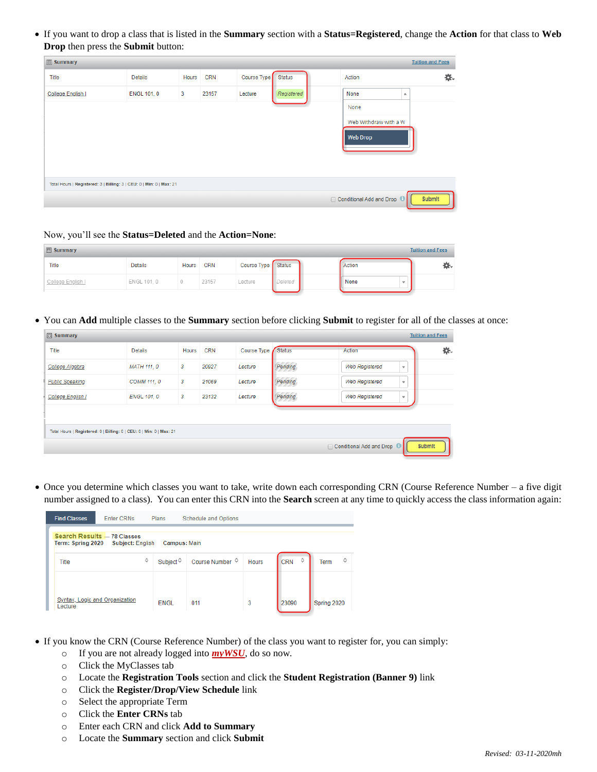If you want to drop a class that is listed in the **Summary** section with a **Status=Registered**, change the **Action** for that class to **Web Drop** then press the **Submit** button:

| <b>B</b> Summary                                                     |                    |       |            |                    |            |                                     | <b>Tuition and Fees</b> |
|----------------------------------------------------------------------|--------------------|-------|------------|--------------------|------------|-------------------------------------|-------------------------|
| Title                                                                | <b>Details</b>     | Hours | <b>CRN</b> | Course Type Status |            | Action                              | 杂.                      |
| College English I                                                    | <b>ENGL 101, 0</b> | 3     | 23157      | Lecture            | Registered | None<br>A                           |                         |
|                                                                      |                    |       |            |                    |            | None                                |                         |
|                                                                      |                    |       |            |                    |            | Web Withdraw with a W               |                         |
|                                                                      |                    |       |            |                    |            | <b>Web Drop</b>                     |                         |
|                                                                      |                    |       |            |                    |            |                                     |                         |
|                                                                      |                    |       |            |                    |            |                                     |                         |
| Total Hours   Registered: 3   Billing: 3   CEU: 0   Min: 0   Max: 21 |                    |       |            |                    |            |                                     |                         |
|                                                                      |                    |       |            |                    |            | □ Conditional Add and Drop <b>□</b> | Submit                  |
|                                                                      |                    |       |            |                    |            |                                     |                         |

#### Now, you'll see the **Status=Deleted** and the **Action=None**:

| $\boxed{3}$ Summary |                |  | <b>Tuition and Fees</b> |                    |         |        |   |
|---------------------|----------------|--|-------------------------|--------------------|---------|--------|---|
| Title               | <b>Details</b> |  | Hours CRN               | Course Type Status |         | Action | ₩ |
| College English I   | ENGL 101, 0    |  | 23157                   | Lecture            | Deleted | None   |   |
|                     |                |  |                         |                    |         |        |   |

You can **Add** multiple classes to the **Summary** section before clicking **Submit** to register for all of the classes at once:

| <b>同 Summary</b>                                                     |                    |       |            |                    |         |                                                   | <b>Tuition and Fees</b> |
|----------------------------------------------------------------------|--------------------|-------|------------|--------------------|---------|---------------------------------------------------|-------------------------|
| Title                                                                | <b>Details</b>     | Hours | <b>CRN</b> | Course Type Status |         | Action                                            | 券.                      |
| College Algebra                                                      | <b>MATH 111, 0</b> | 3     | 20927      | Lecture            | Pending | <b>Web Registered</b><br>$\overline{\phantom{a}}$ |                         |
| <b>Public Speaking</b>                                               | COMM 111, 0        | 3     | 21069      | Lecture            | Pending | <b>Web Registered</b><br>$\mathbf{v}$             |                         |
| College English I                                                    | <b>ENGL 101, 0</b> | 3     | 23132      | Lecture            | Pending | <b>Web Registered</b><br>$\mathbf{v}$             |                         |
|                                                                      |                    |       |            |                    |         |                                                   |                         |
| Total Hours   Registered: 0   Billing: 0   CEU: 0   Min: 0   Max: 21 |                    |       |            |                    |         |                                                   |                         |
|                                                                      |                    |       |            |                    |         | □ Conditional Add and Drop <b>□</b>               | Submit                  |

 Once you determine which classes you want to take, write down each corresponding CRN (Course Reference Number – a five digit number assigned to a class). You can enter this CRN into the **Search** screen at any time to quickly access the class information again:

| <b>Find Classes</b>                                                                                | <b>Enter CRNs</b> | Plans              | <b>Schedule and Options</b> |                              |       |             |  |  |  |
|----------------------------------------------------------------------------------------------------|-------------------|--------------------|-----------------------------|------------------------------|-------|-------------|--|--|--|
| Search Results - 78 Classes<br><b>Subject: English</b><br>Term: Spring 2020<br><b>Campus: Main</b> |                   |                    |                             |                              |       |             |  |  |  |
| ≎<br>Title                                                                                         |                   | Subject $\diamond$ | Course Number ↓             | ≎<br>≎<br><b>CRN</b><br>Term |       |             |  |  |  |
|                                                                                                    |                   |                    |                             |                              |       |             |  |  |  |
| Syntax, Logic and Organization<br>Lecture                                                          |                   | <b>ENGL</b>        | 011                         | 3                            | 23090 | Spring 2020 |  |  |  |

- If you know the CRN (Course Reference Number) of the class you want to register for, you can simply:
	- o If you are not already logged into *[myWSU](http://www.wichita.edu/mywsu),* do so now.
	- o Click the MyClasses tab
	- o Locate the **Registration Tools** section and click the **Student Registration (Banner 9)** link
	- o Click the **Register/Drop/View Schedule** link
	- o Select the appropriate Term
	- o Click the **Enter CRNs** tab
	- o Enter each CRN and click **Add to Summary**
	- o Locate the **Summary** section and click **Submit**